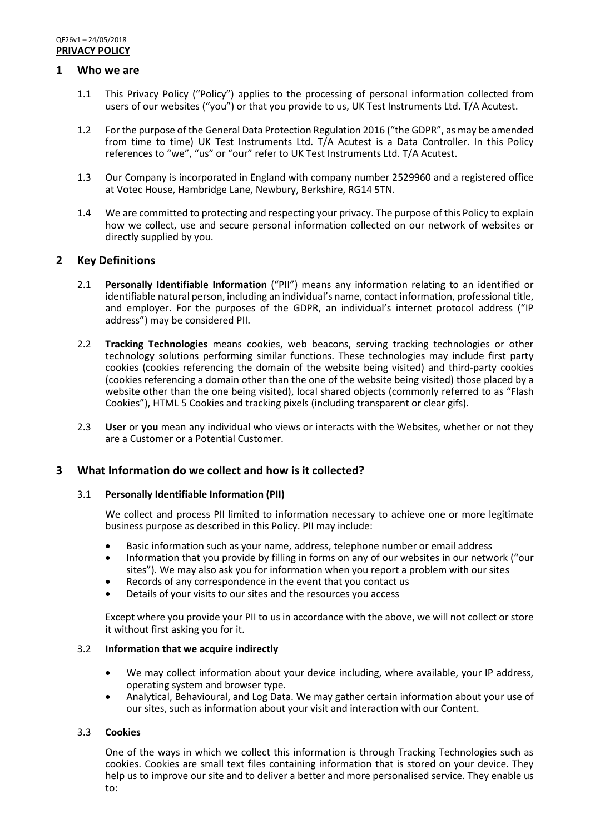## **1 Who we are**

- 1.1 This Privacy Policy ("Policy") applies to the processing of personal information collected from users of our websites ("you") or that you provide to us, UK Test Instruments Ltd. T/A Acutest.
- 1.2 For the purpose of the General Data Protection Regulation 2016 ("the GDPR", as may be amended from time to time) UK Test Instruments Ltd. T/A Acutest is a Data Controller. In this Policy references to "we", "us" or "our" refer to UK Test Instruments Ltd. T/A Acutest.
- 1.3 Our Company is incorporated in England with company number 2529960 and a registered office at Votec House, Hambridge Lane, Newbury, Berkshire, RG14 5TN.
- 1.4 We are committed to protecting and respecting your privacy. The purpose of this Policy to explain how we collect, use and secure personal information collected on our network of websites or directly supplied by you.

## **2 Key Definitions**

- 2.1 **Personally Identifiable Information** ("PII") means any information relating to an identified or identifiable natural person, including an individual's name, contact information, professional title, and employer. For the purposes of the GDPR, an individual's internet protocol address ("IP address") may be considered PII.
- 2.2 **Tracking Technologies** means cookies, web beacons, serving tracking technologies or other technology solutions performing similar functions. These technologies may include first party cookies (cookies referencing the domain of the website being visited) and third-party cookies (cookies referencing a domain other than the one of the website being visited) those placed by a website other than the one being visited), local shared objects (commonly referred to as "Flash Cookies"), HTML 5 Cookies and tracking pixels (including transparent or clear gifs).
- 2.3 **User** or **you** mean any individual who views or interacts with the Websites, whether or not they are a Customer or a Potential Customer.

## **3 What Information do we collect and how is it collected?**

## 3.1 **Personally Identifiable Information (PII)**

We collect and process PII limited to information necessary to achieve one or more legitimate business purpose as described in this Policy. PII may include:

- Basic information such as your name, address, telephone number or email address
- Information that you provide by filling in forms on any of our websites in our network ("our sites"). We may also ask you for information when you report a problem with our sites
- Records of any correspondence in the event that you contact us
- Details of your visits to our sites and the resources you access

Except where you provide your PII to us in accordance with the above, we will not collect or store it without first asking you for it.

#### 3.2 **Information that we acquire indirectly**

- We may collect information about your device including, where available, your IP address, operating system and browser type.
- Analytical, Behavioural, and Log Data. We may gather certain information about your use of our sites, such as information about your visit and interaction with our Content.

## 3.3 **Cookies**

One of the ways in which we collect this information is through Tracking Technologies such as cookies. Cookies are small text files containing information that is stored on your device. They help us to improve our site and to deliver a better and more personalised service. They enable us to: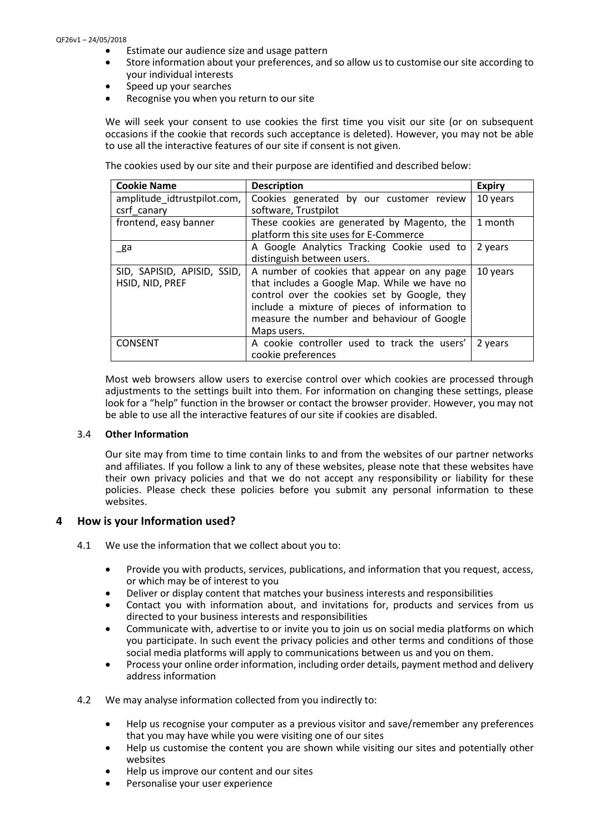#### QF26v1 – 24/05/2018

- Estimate our audience size and usage pattern
- Store information about your preferences, and so allow us to customise our site according to your individual interests
- Speed up your searches
- Recognise you when you return to our site

We will seek your consent to use cookies the first time you visit our site (or on subsequent occasions if the cookie that records such acceptance is deleted). However, you may not be able to use all the interactive features of our site if consent is not given.

The cookies used by our site and their purpose are identified and described below:

| <b>Cookie Name</b>                             | <b>Description</b>                                                                                                                                                                                                                                        | <b>Expiry</b> |
|------------------------------------------------|-----------------------------------------------------------------------------------------------------------------------------------------------------------------------------------------------------------------------------------------------------------|---------------|
| amplitude idtrustpilot.com,                    | Cookies generated by our customer review                                                                                                                                                                                                                  | 10 years      |
| csrf canary                                    | software, Trustpilot                                                                                                                                                                                                                                      |               |
| frontend, easy banner                          | These cookies are generated by Magento, the                                                                                                                                                                                                               | 1 month       |
|                                                | platform this site uses for E-Commerce                                                                                                                                                                                                                    |               |
| _ga                                            | A Google Analytics Tracking Cookie used to                                                                                                                                                                                                                | 2 years       |
|                                                | distinguish between users.                                                                                                                                                                                                                                |               |
| SID, SAPISID, APISID, SSID,<br>HSID, NID, PREF | A number of cookies that appear on any page<br>that includes a Google Map. While we have no<br>control over the cookies set by Google, they<br>include a mixture of pieces of information to<br>measure the number and behaviour of Google<br>Maps users. | 10 years      |
| <b>CONSENT</b>                                 | A cookie controller used to track the users'<br>cookie preferences                                                                                                                                                                                        | 2 years       |

Most web browsers allow users to exercise control over which cookies are processed through adjustments to the settings built into them. For information on changing these settings, please look for a "help" function in the browser or contact the browser provider. However, you may not be able to use all the interactive features of our site if cookies are disabled.

#### 3.4 **Other Information**

Our site may from time to time contain links to and from the websites of our partner networks and affiliates. If you follow a link to any of these websites, please note that these websites have their own privacy policies and that we do not accept any responsibility or liability for these policies. Please check these policies before you submit any personal information to these websites.

## **4 How is your Information used?**

4.1 We use the information that we collect about you to:

- Provide you with products, services, publications, and information that you request, access, or which may be of interest to you
- Deliver or display content that matches your business interests and responsibilities
- Contact you with information about, and invitations for, products and services from us directed to your business interests and responsibilities
- Communicate with, advertise to or invite you to join us on social media platforms on which you participate. In such event the privacy policies and other terms and conditions of those social media platforms will apply to communications between us and you on them.
- Process your online order information, including order details, payment method and delivery address information
- 4.2 We may analyse information collected from you indirectly to:
	- Help us recognise your computer as a previous visitor and save/remember any preferences that you may have while you were visiting one of our sites
	- Help us customise the content you are shown while visiting our sites and potentially other websites
	- Help us improve our content and our sites
	- Personalise your user experience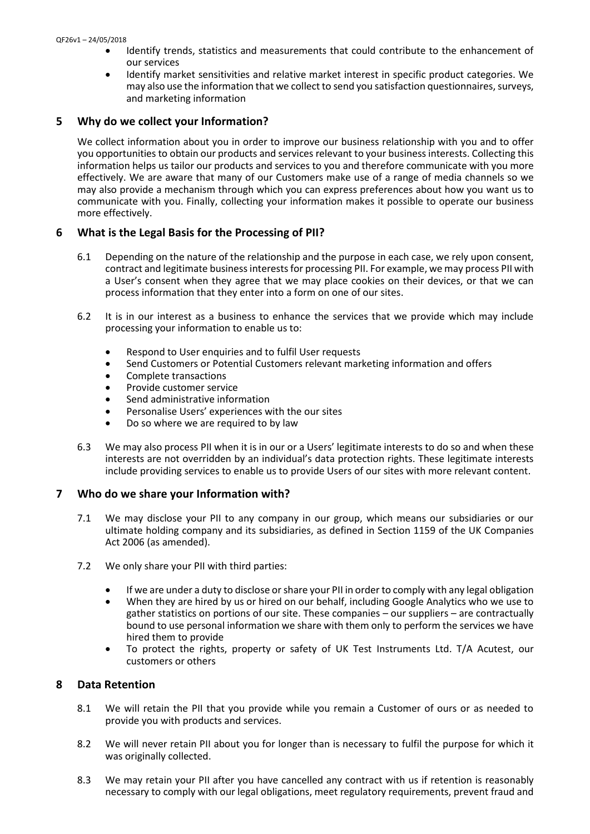- Identify trends, statistics and measurements that could contribute to the enhancement of our services
- Identify market sensitivities and relative market interest in specific product categories. We may also use the information that we collect to send you satisfaction questionnaires, surveys, and marketing information

# **5 Why do we collect your Information?**

We collect information about you in order to improve our business relationship with you and to offer you opportunities to obtain our products and services relevant to your business interests. Collecting this information helps us tailor our products and services to you and therefore communicate with you more effectively. We are aware that many of our Customers make use of a range of media channels so we may also provide a mechanism through which you can express preferences about how you want us to communicate with you. Finally, collecting your information makes it possible to operate our business more effectively.

# **6 What is the Legal Basis for the Processing of PII?**

- 6.1 Depending on the nature of the relationship and the purpose in each case, we rely upon consent, contract and legitimate business interests for processing PII. For example, we may process PII with a User's consent when they agree that we may place cookies on their devices, or that we can process information that they enter into a form on one of our sites.
- 6.2 It is in our interest as a business to enhance the services that we provide which may include processing your information to enable us to:
	- Respond to User enquiries and to fulfil User requests
	- Send Customers or Potential Customers relevant marketing information and offers
	- Complete transactions
	- Provide customer service
	- Send administrative information
	- Personalise Users' experiences with the our sites
	- Do so where we are required to by law
- 6.3 We may also process PII when it is in our or a Users' legitimate interests to do so and when these interests are not overridden by an individual's data protection rights. These legitimate interests include providing services to enable us to provide Users of our sites with more relevant content.

# **7 Who do we share your Information with?**

- 7.1 We may disclose your PII to any company in our group, which means our subsidiaries or our ultimate holding company and its subsidiaries, as defined in Section 1159 of the UK Companies Act 2006 (as amended).
- 7.2 We only share your PII with third parties:
	- If we are under a duty to disclose or share your PII in order to comply with any legal obligation
	- When they are hired by us or hired on our behalf, including Google Analytics who we use to gather statistics on portions of our site. These companies – our suppliers – are contractually bound to use personal information we share with them only to perform the services we have hired them to provide
	- To protect the rights, property or safety of UK Test Instruments Ltd. T/A Acutest, our customers or others

## **8 Data Retention**

- 8.1 We will retain the PII that you provide while you remain a Customer of ours or as needed to provide you with products and services.
- 8.2 We will never retain PII about you for longer than is necessary to fulfil the purpose for which it was originally collected.
- 8.3 We may retain your PII after you have cancelled any contract with us if retention is reasonably necessary to comply with our legal obligations, meet regulatory requirements, prevent fraud and